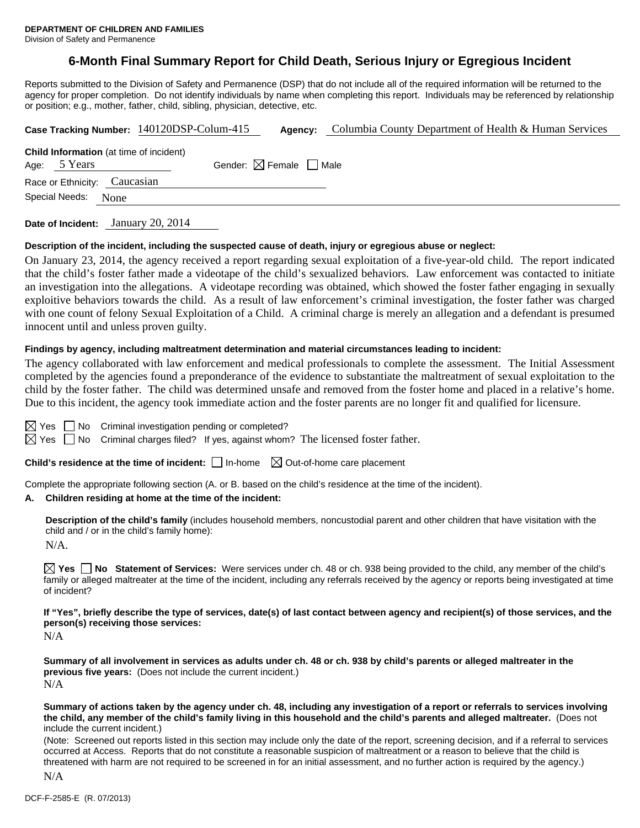# **6-Month Final Summary Report for Child Death, Serious Injury or Egregious Incident**

Reports submitted to the Division of Safety and Permanence (DSP) that do not include all of the required information will be returned to the agency for proper completion. Do not identify individuals by name when completing this report. Individuals may be referenced by relationship or position; e.g., mother, father, child, sibling, physician, detective, etc.

|                                                                | Case Tracking Number: 140120DSP-Colum-415 | Agency:                                | Columbia County Department of Health & Human Services |
|----------------------------------------------------------------|-------------------------------------------|----------------------------------------|-------------------------------------------------------|
| <b>Child Information</b> (at time of incident)<br>Age: 5 Years |                                           | Gender: $\boxtimes$ Female $\Box$ Male |                                                       |
| Race or Ethnicity: Caucasian                                   |                                           |                                        |                                                       |
| Special Needs:<br>None                                         |                                           |                                        |                                                       |
|                                                                |                                           |                                        |                                                       |

**Date of Incident:** January 20, 2014

#### **Description of the incident, including the suspected cause of death, injury or egregious abuse or neglect:**

On January 23, 2014, the agency received a report regarding sexual exploitation of a five-year-old child. The report indicated that the child's foster father made a videotape of the child's sexualized behaviors. Law enforcement was contacted to initiate an investigation into the allegations. A videotape recording was obtained, which showed the foster father engaging in sexually exploitive behaviors towards the child. As a result of law enforcement's criminal investigation, the foster father was charged with one count of felony Sexual Exploitation of a Child. A criminal charge is merely an allegation and a defendant is presumed innocent until and unless proven guilty.

#### **Findings by agency, including maltreatment determination and material circumstances leading to incident:**

The agency collaborated with law enforcement and medical professionals to complete the assessment. The Initial Assessment completed by the agencies found a preponderance of the evidence to substantiate the maltreatment of sexual exploitation to the child by the foster father. The child was determined unsafe and removed from the foster home and placed in a relative's home. Due to this incident, the agency took immediate action and the foster parents are no longer fit and qualified for licensure.

 $\boxtimes$  Yes  $\Box$  No Criminal investigation pending or completed?

 $\boxtimes$  Yes  $\Box$  No Criminal charges filed? If yes, against whom? The licensed foster father.

**Child's residence at the time of incident:**  $\Box$  In-home  $\Box$  Out-of-home care placement

Complete the appropriate following section (A. or B. based on the child's residence at the time of the incident).

#### **A. Children residing at home at the time of the incident:**

**Description of the child's family** (includes household members, noncustodial parent and other children that have visitation with the child and / or in the child's family home):

N/A.

**Yes No Statement of Services:** Were services under ch. 48 or ch. 938 being provided to the child, any member of the child's family or alleged maltreater at the time of the incident, including any referrals received by the agency or reports being investigated at time of incident?

**If "Yes", briefly describe the type of services, date(s) of last contact between agency and recipient(s) of those services, and the person(s) receiving those services:** 

N/A

**Summary of all involvement in services as adults under ch. 48 or ch. 938 by child's parents or alleged maltreater in the previous five years:** (Does not include the current incident.) N/A

**Summary of actions taken by the agency under ch. 48, including any investigation of a report or referrals to services involving the child, any member of the child's family living in this household and the child's parents and alleged maltreater.** (Does not include the current incident.)

(Note: Screened out reports listed in this section may include only the date of the report, screening decision, and if a referral to services occurred at Access. Reports that do not constitute a reasonable suspicion of maltreatment or a reason to believe that the child is threatened with harm are not required to be screened in for an initial assessment, and no further action is required by the agency.)

N/A